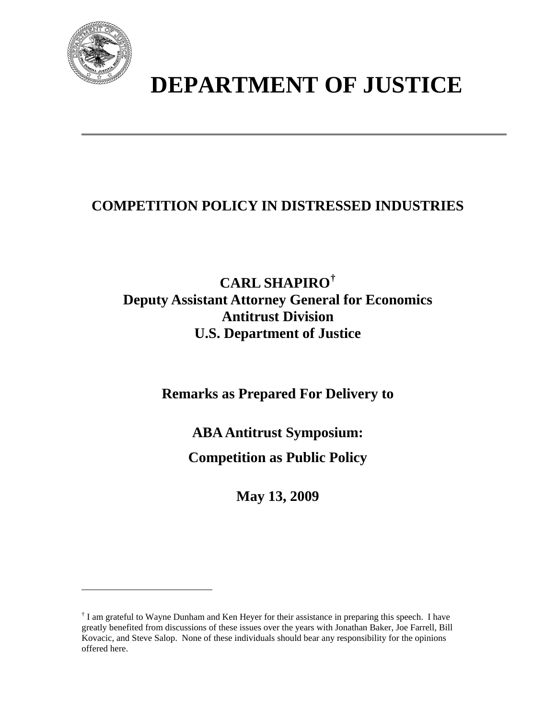

 $\overline{a}$ 

# **DEPARTMENT OF JUSTICE**

# **COMPETITION POLICY IN DISTRESSED INDUSTRIES**

# **CARL SHAPIRO[†](#page-0-0) Deputy Assistant Attorney General for Economics Antitrust Division U.S. Department of Justice**

**Remarks as Prepared For Delivery to** 

**ABA Antitrust Symposium:** 

**Competition as Public Policy** 

**May 13, 2009** 

<span id="page-0-0"></span><sup>&</sup>lt;sup>†</sup> I am grateful to Wayne Dunham and Ken Heyer for their assistance in preparing this speech. I have greatly benefited from discussions of these issues over the years with Jonathan Baker, Joe Farrell, Bill Kovacic, and Steve Salop. None of these individuals should bear any responsibility for the opinions offered here.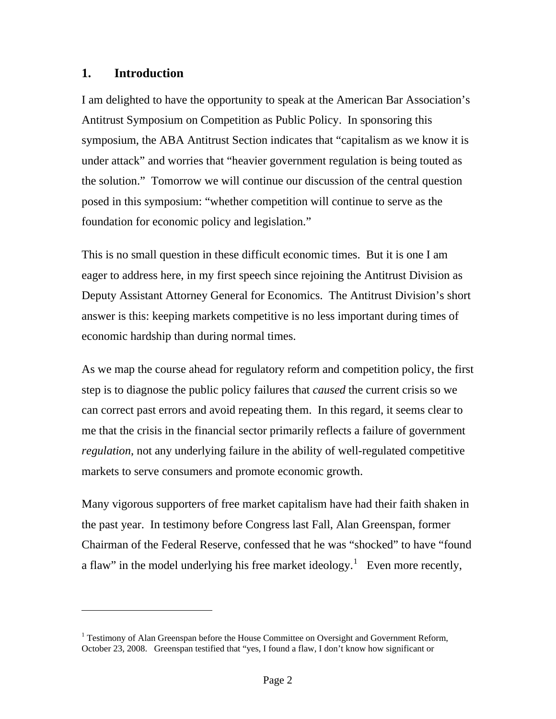### **1. Introduction**

 $\overline{a}$ 

I am delighted to have the opportunity to speak at the American Bar Association's Antitrust Symposium on Competition as Public Policy. In sponsoring this symposium, the ABA Antitrust Section indicates that "capitalism as we know it is under attack" and worries that "heavier government regulation is being touted as the solution." Tomorrow we will continue our discussion of the central question posed in this symposium: "whether competition will continue to serve as the foundation for economic policy and legislation."

This is no small question in these difficult economic times. But it is one I am eager to address here, in my first speech since rejoining the Antitrust Division as Deputy Assistant Attorney General for Economics. The Antitrust Division's short answer is this: keeping markets competitive is no less important during times of economic hardship than during normal times.

As we map the course ahead for regulatory reform and competition policy, the first step is to diagnose the public policy failures that *caused* the current crisis so we can correct past errors and avoid repeating them. In this regard, it seems clear to me that the crisis in the financial sector primarily reflects a failure of government *regulation*, not any underlying failure in the ability of well-regulated competitive markets to serve consumers and promote economic growth.

Many vigorous supporters of free market capitalism have had their faith shaken in the past year. In testimony before Congress last Fall, Alan Greenspan, former Chairman of the Federal Reserve, confessed that he was "shocked" to have "found a flaw" in the model underlying his free market ideology.<sup>[1](#page-1-0)</sup> Even more recently,

<span id="page-1-0"></span><sup>&</sup>lt;sup>1</sup> Testimony of Alan Greenspan before the House Committee on Oversight and Government Reform, October 23, 2008. Greenspan testified that "yes, I found a flaw, I don't know how significant or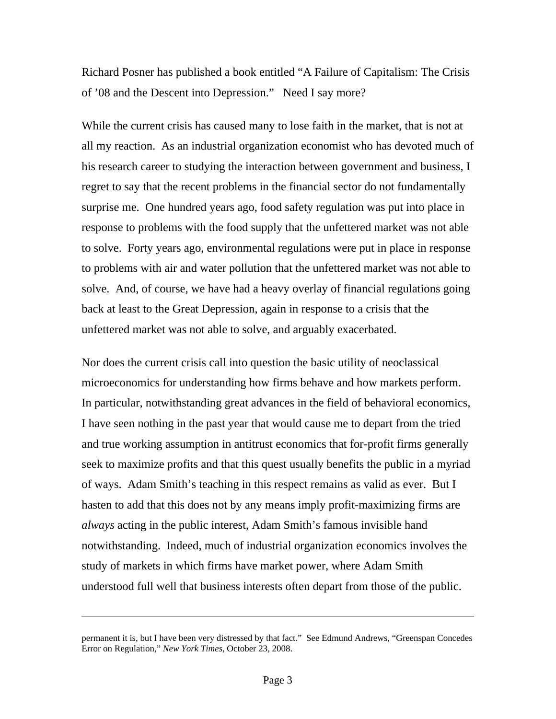Richard Posner has published a book entitled "A Failure of Capitalism: The Crisis of '08 and the Descent into Depression." Need I say more?

While the current crisis has caused many to lose faith in the market, that is not at all my reaction. As an industrial organization economist who has devoted much of his research career to studying the interaction between government and business, I regret to say that the recent problems in the financial sector do not fundamentally surprise me. One hundred years ago, food safety regulation was put into place in response to problems with the food supply that the unfettered market was not able to solve. Forty years ago, environmental regulations were put in place in response to problems with air and water pollution that the unfettered market was not able to solve. And, of course, we have had a heavy overlay of financial regulations going back at least to the Great Depression, again in response to a crisis that the unfettered market was not able to solve, and arguably exacerbated.

Nor does the current crisis call into question the basic utility of neoclassical microeconomics for understanding how firms behave and how markets perform. In particular, notwithstanding great advances in the field of behavioral economics, I have seen nothing in the past year that would cause me to depart from the tried and true working assumption in antitrust economics that for-profit firms generally seek to maximize profits and that this quest usually benefits the public in a myriad of ways. Adam Smith's teaching in this respect remains as valid as ever. But I hasten to add that this does not by any means imply profit-maximizing firms are *always* acting in the public interest, Adam Smith's famous invisible hand notwithstanding. Indeed, much of industrial organization economics involves the study of markets in which firms have market power, where Adam Smith understood full well that business interests often depart from those of the public.

permanent it is, but I have been very distressed by that fact." See Edmund Andrews, "Greenspan Concedes Error on Regulation," *New York Times*, October 23, 2008.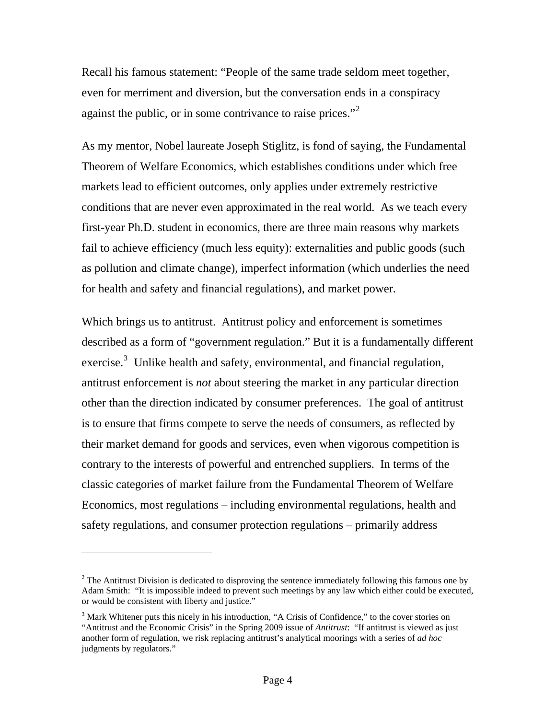Recall his famous statement: "People of the same trade seldom meet together, even for merriment and diversion, but the conversation ends in a conspiracy against the public, or in some contrivance to raise prices."<sup>[2](#page-3-0)</sup>

As my mentor, Nobel laureate Joseph Stiglitz, is fond of saying, the Fundamental Theorem of Welfare Economics, which establishes conditions under which free markets lead to efficient outcomes, only applies under extremely restrictive conditions that are never even approximated in the real world. As we teach every first-year Ph.D. student in economics, there are three main reasons why markets fail to achieve efficiency (much less equity): externalities and public goods (such as pollution and climate change), imperfect information (which underlies the need for health and safety and financial regulations), and market power.

Which brings us to antitrust. Antitrust policy and enforcement is sometimes described as a form of "government regulation." But it is a fundamentally different exercise.<sup>[3](#page-3-1)</sup> Unlike health and safety, environmental, and financial regulation, antitrust enforcement is *not* about steering the market in any particular direction other than the direction indicated by consumer preferences. The goal of antitrust is to ensure that firms compete to serve the needs of consumers, as reflected by their market demand for goods and services, even when vigorous competition is contrary to the interests of powerful and entrenched suppliers. In terms of the classic categories of market failure from the Fundamental Theorem of Welfare Economics, most regulations – including environmental regulations, health and safety regulations, and consumer protection regulations – primarily address

<span id="page-3-0"></span> $2<sup>2</sup>$  The Antitrust Division is dedicated to disproving the sentence immediately following this famous one by Adam Smith: "It is impossible indeed to prevent such meetings by any law which either could be executed, or would be consistent with liberty and justice."

<span id="page-3-1"></span><sup>&</sup>lt;sup>3</sup> Mark Whitener puts this nicely in his introduction, "A Crisis of Confidence," to the cover stories on "Antitrust and the Economic Crisis" in the Spring 2009 issue of *Antitrust*: "If antitrust is viewed as just another form of regulation, we risk replacing antitrust's analytical moorings with a series of *ad hoc* judgments by regulators."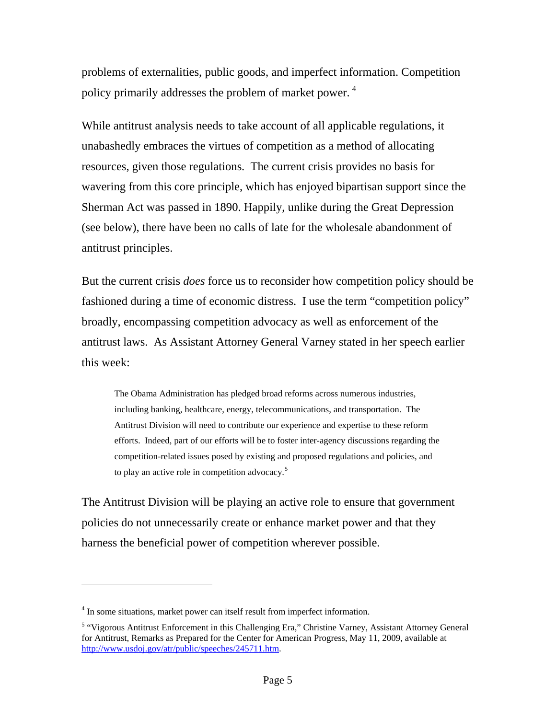problems of externalities, public goods, and imperfect information. Competition policy primarily addresses the problem of market power.<sup>[4](#page-4-0)</sup>

While antitrust analysis needs to take account of all applicable regulations, it unabashedly embraces the virtues of competition as a method of allocating resources, given those regulations. The current crisis provides no basis for wavering from this core principle, which has enjoyed bipartisan support since the Sherman Act was passed in 1890. Happily, unlike during the Great Depression (see below), there have been no calls of late for the wholesale abandonment of antitrust principles.

But the current crisis *does* force us to reconsider how competition policy should be fashioned during a time of economic distress. I use the term "competition policy" broadly, encompassing competition advocacy as well as enforcement of the antitrust laws. As Assistant Attorney General Varney stated in her speech earlier this week:

The Obama Administration has pledged broad reforms across numerous industries, including banking, healthcare, energy, telecommunications, and transportation. The Antitrust Division will need to contribute our experience and expertise to these reform efforts. Indeed, part of our efforts will be to foster inter-agency discussions regarding the competition-related issues posed by existing and proposed regulations and policies, and to play an active role in competition advocacy.<sup>[5](#page-4-1)</sup>

The Antitrust Division will be playing an active role to ensure that government policies do not unnecessarily create or enhance market power and that they harness the beneficial power of competition wherever possible.

<span id="page-4-0"></span><sup>&</sup>lt;sup>4</sup> In some situations, market power can itself result from imperfect information.

<span id="page-4-1"></span><sup>&</sup>lt;sup>5</sup> "Vigorous Antitrust Enforcement in this Challenging Era," Christine Varney, Assistant Attorney General for Antitrust, Remarks as Prepared for the Center for American Progress, May 11, 2009, available at <http://www.usdoj.gov/atr/public/speeches/245711.htm>.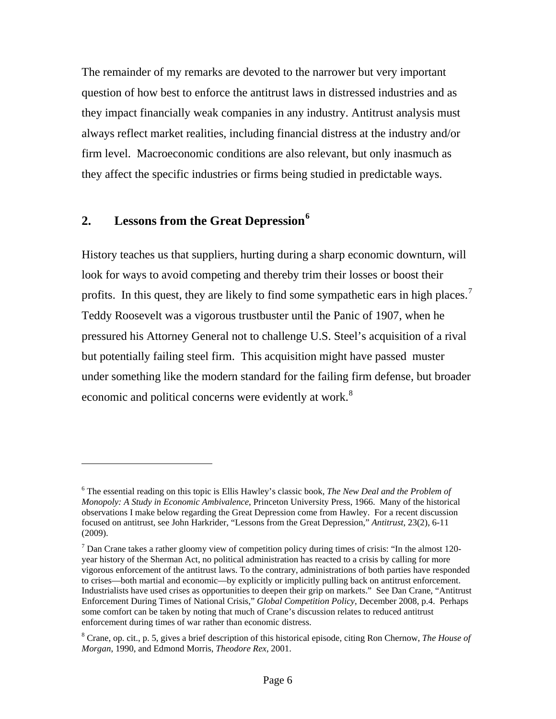The remainder of my remarks are devoted to the narrower but very important question of how best to enforce the antitrust laws in distressed industries and as they impact financially weak companies in any industry. Antitrust analysis must always reflect market realities, including financial distress at the industry and/or firm level. Macroeconomic conditions are also relevant, but only inasmuch as they affect the specific industries or firms being studied in predictable ways.

# **2. Lessons from the Great Depression[6](#page-5-0)**

 $\overline{a}$ 

History teaches us that suppliers, hurting during a sharp economic downturn, will look for ways to avoid competing and thereby trim their losses or boost their profits. In this quest, they are likely to find some sympathetic ears in high places.<sup>[7](#page-5-1)</sup> Teddy Roosevelt was a vigorous trustbuster until the Panic of 1907, when he pressured his Attorney General not to challenge U.S. Steel's acquisition of a rival but potentially failing steel firm. This acquisition might have passed muster under something like the modern standard for the failing firm defense, but broader economic and political concerns were evidently at work.<sup>[8](#page-5-2)</sup>

<span id="page-5-0"></span><sup>6</sup> The essential reading on this topic is Ellis Hawley's classic book, *The New Deal and the Problem of Monopoly: A Study in Economic Ambivalence*, Princeton University Press, 1966. Many of the historical observations I make below regarding the Great Depression come from Hawley. For a recent discussion focused on antitrust, see John Harkrider, "Lessons from the Great Depression," *Antitrust*, 23(2), 6-11 (2009).

<span id="page-5-1"></span><sup>&</sup>lt;sup>7</sup> Dan Crane takes a rather gloomy view of competition policy during times of crisis: "In the almost 120year history of the Sherman Act, no political administration has reacted to a crisis by calling for more vigorous enforcement of the antitrust laws. To the contrary, administrations of both parties have responded to crises—both martial and economic—by explicitly or implicitly pulling back on antitrust enforcement. Industrialists have used crises as opportunities to deepen their grip on markets." See Dan Crane, "Antitrust Enforcement During Times of National Crisis," *Global Competition Policy*, December 2008, p.4. Perhaps some comfort can be taken by noting that much of Crane's discussion relates to reduced antitrust enforcement during times of war rather than economic distress.

<span id="page-5-2"></span><sup>8</sup> Crane, op. cit., p. 5, gives a brief description of this historical episode, citing Ron Chernow, *The House of Morgan*, 1990, and Edmond Morris, *Theodore Rex*, 2001.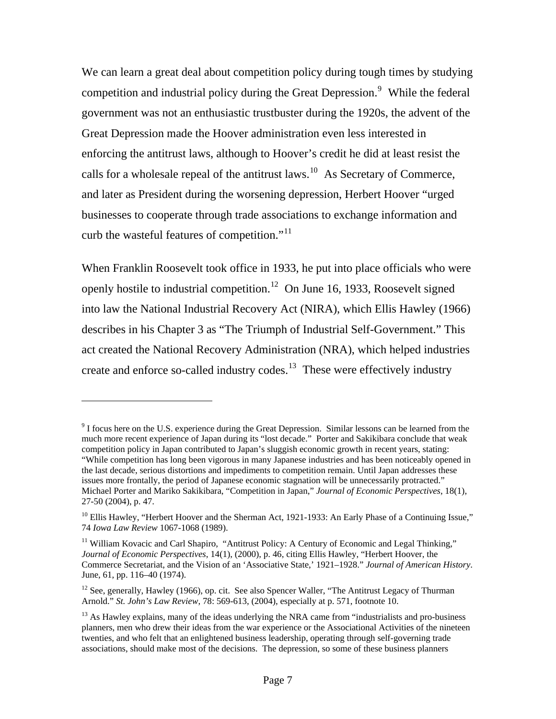We can learn a great deal about competition policy during tough times by studying competition and industrial policy during the Great Depression.<sup>[9](#page-6-0)</sup> While the federal government was not an enthusiastic trustbuster during the 1920s, the advent of the Great Depression made the Hoover administration even less interested in enforcing the antitrust laws, although to Hoover's credit he did at least resist the calls for a wholesale repeal of the antitrust laws.<sup>[10](#page-6-1)</sup> As Secretary of Commerce, and later as President during the worsening depression, Herbert Hoover "urged businesses to cooperate through trade associations to exchange information and curb the wasteful features of competition."[11](#page-6-2)

When Franklin Roosevelt took office in 1933, he put into place officials who were openly hostile to industrial competition.<sup>[12](#page-6-3)</sup> On June 16, 1933, Roosevelt signed into law the National Industrial Recovery Act (NIRA), which Ellis Hawley (1966) describes in his Chapter 3 as "The Triumph of Industrial Self-Government." This act created the National Recovery Administration (NRA), which helped industries create and enforce so-called industry codes.<sup>[13](#page-6-4)</sup> These were effectively industry

<span id="page-6-0"></span> $9$  I focus here on the U.S. experience during the Great Depression. Similar lessons can be learned from the much more recent experience of Japan during its "lost decade." Porter and Sakikibara conclude that weak competition policy in Japan contributed to Japan's sluggish economic growth in recent years, stating: "While competition has long been vigorous in many Japanese industries and has been noticeably opened in the last decade, serious distortions and impediments to competition remain. Until Japan addresses these issues more frontally, the period of Japanese economic stagnation will be unnecessarily protracted." Michael Porter and Mariko Sakikibara, "Competition in Japan," *Journal of Economic Perspectives*, 18(1), 27-50 (2004), p. 47.

<span id="page-6-1"></span><sup>&</sup>lt;sup>10</sup> Ellis Hawley, "Herbert Hoover and the Sherman Act, 1921-1933: An Early Phase of a Continuing Issue," 74 *Iowa Law Review* 1067-1068 (1989).

<span id="page-6-2"></span><sup>&</sup>lt;sup>11</sup> William Kovacic and Carl Shapiro, "Antitrust Policy: A Century of Economic and Legal Thinking," *Journal of Economic Perspectives*, 14(1), (2000), p. 46, citing Ellis Hawley, "Herbert Hoover, the Commerce Secretariat, and the Vision of an 'Associative State,' 1921–1928." *Journal of American History*. June, 61, pp. 116–40 (1974).

<span id="page-6-3"></span><sup>&</sup>lt;sup>12</sup> See, generally, Hawley (1966), op. cit. See also Spencer Waller, "The Antitrust Legacy of Thurman Arnold." *St. John's Law Review*, 78: 569-613, (2004), especially at p. 571, footnote 10.

<span id="page-6-4"></span> $<sup>13</sup>$  As Hawley explains, many of the ideas underlying the NRA came from "industrialists and pro-business"</sup> planners, men who drew their ideas from the war experience or the Associational Activities of the nineteen twenties, and who felt that an enlightened business leadership, operating through self-governing trade associations, should make most of the decisions. The depression, so some of these business planners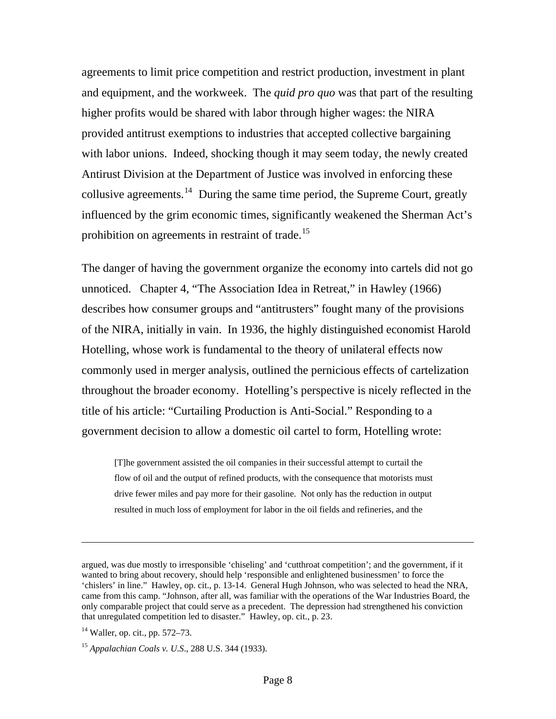agreements to limit price competition and restrict production, investment in plant and equipment, and the workweek. The *quid pro quo* was that part of the resulting higher profits would be shared with labor through higher wages: the NIRA provided antitrust exemptions to industries that accepted collective bargaining with labor unions. Indeed, shocking though it may seem today, the newly created Antirust Division at the Department of Justice was involved in enforcing these collusive agreements.<sup>[14](#page-7-0)</sup> During the same time period, the Supreme Court, greatly influenced by the grim economic times, significantly weakened the Sherman Act's prohibition on agreements in restraint of trade.<sup>[15](#page-7-1)</sup>

The danger of having the government organize the economy into cartels did not go unnoticed. Chapter 4, "The Association Idea in Retreat," in Hawley (1966) describes how consumer groups and "antitrusters" fought many of the provisions of the NIRA, initially in vain. In 1936, the highly distinguished economist Harold Hotelling, whose work is fundamental to the theory of unilateral effects now commonly used in merger analysis, outlined the pernicious effects of cartelization throughout the broader economy. Hotelling's perspective is nicely reflected in the title of his article: "Curtailing Production is Anti-Social." Responding to a government decision to allow a domestic oil cartel to form, Hotelling wrote:

[T]he government assisted the oil companies in their successful attempt to curtail the flow of oil and the output of refined products, with the consequence that motorists must drive fewer miles and pay more for their gasoline. Not only has the reduction in output resulted in much loss of employment for labor in the oil fields and refineries, and the

argued, was due mostly to irresponsible 'chiseling' and 'cutthroat competition'; and the government, if it wanted to bring about recovery, should help 'responsible and enlightened businessmen' to force the 'chislers' in line." Hawley, op. cit., p. 13-14. General Hugh Johnson, who was selected to head the NRA, came from this camp. "Johnson, after all, was familiar with the operations of the War Industries Board, the only comparable project that could serve as a precedent. The depression had strengthened his conviction that unregulated competition led to disaster." Hawley, op. cit., p. 23.

<span id="page-7-0"></span> $14$  Waller, op. cit., pp. 572–73.

<span id="page-7-1"></span><sup>15</sup> *Appalachian Coals v. U.S*., 288 U.S. 344 (1933).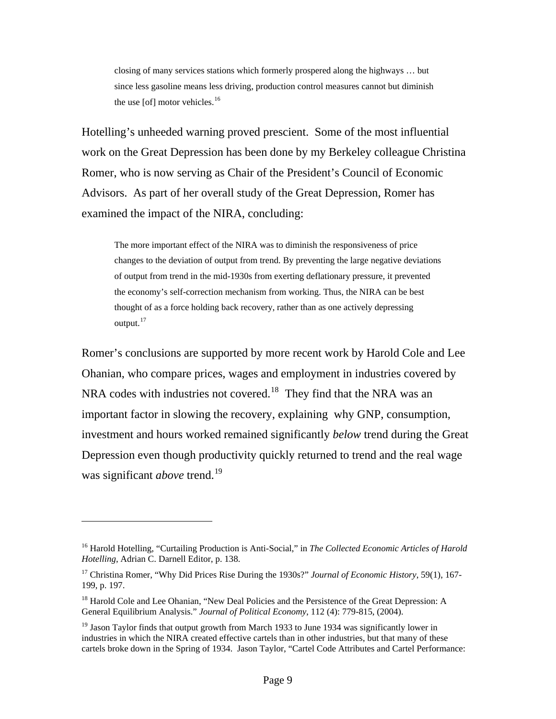closing of many services stations which formerly prospered along the highways … but since less gasoline means less driving, production control measures cannot but diminish the use  $[of]$  motor vehicles.<sup>[16](#page-8-0)</sup>

Hotelling's unheeded warning proved prescient. Some of the most influential work on the Great Depression has been done by my Berkeley colleague Christina Romer, who is now serving as Chair of the President's Council of Economic Advisors. As part of her overall study of the Great Depression, Romer has examined the impact of the NIRA, concluding:

The more important effect of the NIRA was to diminish the responsiveness of price changes to the deviation of output from trend. By preventing the large negative deviations of output from trend in the mid-1930s from exerting deflationary pressure, it prevented the economy's self-correction mechanism from working. Thus, the NIRA can be best thought of as a force holding back recovery, rather than as one actively depressing output.<sup>[17](#page-8-1)</sup>

Romer's conclusions are supported by more recent work by Harold Cole and Lee Ohanian, who compare prices, wages and employment in industries covered by NRA codes with industries not covered.<sup>[18](#page-8-2)</sup> They find that the NRA was an important factor in slowing the recovery, explaining why GNP, consumption, investment and hours worked remained significantly *below* trend during the Great Depression even though productivity quickly returned to trend and the real wage was significant *above* trend.<sup>[19](#page-8-3)</sup>

<span id="page-8-0"></span><sup>16</sup> Harold Hotelling, "Curtailing Production is Anti-Social," in *The Collected Economic Articles of Harold Hotelling*, Adrian C. Darnell Editor, p. 138.

<span id="page-8-1"></span><sup>17</sup> Christina Romer, "Why Did Prices Rise During the 1930s?" *Journal of Economic History*, 59(1), 167- 199, p. 197.

<span id="page-8-2"></span><sup>&</sup>lt;sup>18</sup> Harold Cole and Lee Ohanian, "New Deal Policies and the Persistence of the Great Depression: A General Equilibrium Analysis." *Journal of Political Economy*, 112 (4): 779-815, (2004).

<span id="page-8-3"></span> $19$  Jason Taylor finds that output growth from March 1933 to June 1934 was significantly lower in industries in which the NIRA created effective cartels than in other industries, but that many of these cartels broke down in the Spring of 1934. Jason Taylor, "Cartel Code Attributes and Cartel Performance: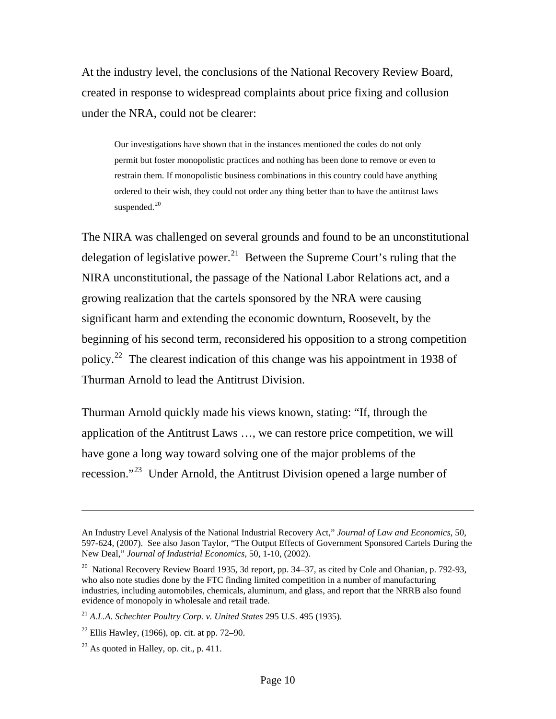At the industry level, the conclusions of the National Recovery Review Board, created in response to widespread complaints about price fixing and collusion under the NRA, could not be clearer:

Our investigations have shown that in the instances mentioned the codes do not only permit but foster monopolistic practices and nothing has been done to remove or even to restrain them. If monopolistic business combinations in this country could have anything ordered to their wish, they could not order any thing better than to have the antitrust laws suspended. $20$ 

The NIRA was challenged on several grounds and found to be an unconstitutional delegation of legislative power.<sup>[21](#page-9-1)</sup> Between the Supreme Court's ruling that the NIRA unconstitutional, the passage of the National Labor Relations act, and a growing realization that the cartels sponsored by the NRA were causing significant harm and extending the economic downturn, Roosevelt, by the beginning of his second term, reconsidered his opposition to a strong competition policy.[22](#page-9-2) The clearest indication of this change was his appointment in 1938 of Thurman Arnold to lead the Antitrust Division.

Thurman Arnold quickly made his views known, stating: "If, through the application of the Antitrust Laws …, we can restore price competition, we will have gone a long way toward solving one of the major problems of the recession."<sup>[23](#page-9-3)</sup> Under Arnold, the Antitrust Division opened a large number of

An Industry Level Analysis of the National Industrial Recovery Act," *Journal of Law and Economics*, 50, 597-624, (2007). See also Jason Taylor, "The Output Effects of Government Sponsored Cartels During the New Deal," *Journal of Industrial Economics*, 50, 1-10, (2002).

<span id="page-9-0"></span> $20$  National Recovery Review Board 1935, 3d report, pp. 34–37, as cited by Cole and Ohanian, p. 792-93, who also note studies done by the FTC finding limited competition in a number of manufacturing industries, including automobiles, chemicals, aluminum, and glass, and report that the NRRB also found evidence of monopoly in wholesale and retail trade.

<span id="page-9-1"></span><sup>21</sup> *A.L.A. Schechter Poultry Corp. v. United States* 295 U.S. 495 (1935).

<span id="page-9-2"></span> $22$  Ellis Hawley, (1966), op. cit. at pp. 72–90.

<span id="page-9-3"></span> $^{23}$  As quoted in Halley, op. cit., p. 411.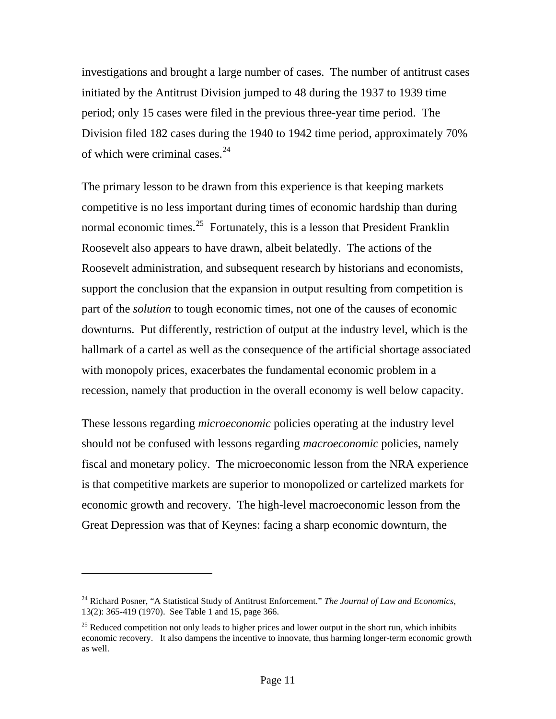investigations and brought a large number of cases. The number of antitrust cases initiated by the Antitrust Division jumped to 48 during the 1937 to 1939 time period; only 15 cases were filed in the previous three-year time period. The Division filed 182 cases during the 1940 to 1942 time period, approximately 70% of which were criminal cases. $24$ 

The primary lesson to be drawn from this experience is that keeping markets competitive is no less important during times of economic hardship than during normal economic times.<sup>[25](#page-10-1)</sup> Fortunately, this is a lesson that President Franklin Roosevelt also appears to have drawn, albeit belatedly. The actions of the Roosevelt administration, and subsequent research by historians and economists, support the conclusion that the expansion in output resulting from competition is part of the *solution* to tough economic times, not one of the causes of economic downturns. Put differently, restriction of output at the industry level, which is the hallmark of a cartel as well as the consequence of the artificial shortage associated with monopoly prices, exacerbates the fundamental economic problem in a recession, namely that production in the overall economy is well below capacity.

These lessons regarding *microeconomic* policies operating at the industry level should not be confused with lessons regarding *macroeconomic* policies, namely fiscal and monetary policy. The microeconomic lesson from the NRA experience is that competitive markets are superior to monopolized or cartelized markets for economic growth and recovery. The high-level macroeconomic lesson from the Great Depression was that of Keynes: facing a sharp economic downturn, the

<span id="page-10-0"></span><sup>24</sup> Richard Posner, "A Statistical Study of Antitrust Enforcement." *The Journal of Law and Economics*, 13(2): 365-419 (1970). See Table 1 and 15, page 366.

<span id="page-10-1"></span> $25$  Reduced competition not only leads to higher prices and lower output in the short run, which inhibits economic recovery. It also dampens the incentive to innovate, thus harming longer-term economic growth as well.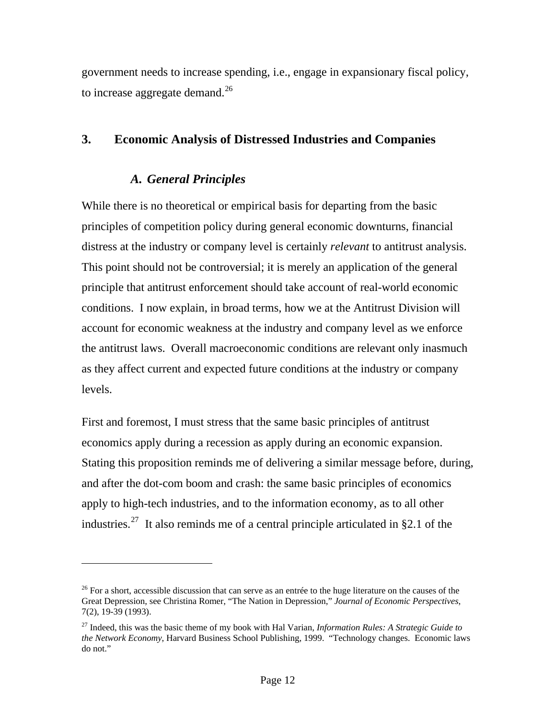government needs to increase spending, i.e., engage in expansionary fiscal policy, to increase aggregate demand.<sup>[26](#page-11-0)</sup>

# **3. Economic Analysis of Distressed Industries and Companies**

# *A. General Principles*

 $\overline{a}$ 

While there is no theoretical or empirical basis for departing from the basic principles of competition policy during general economic downturns, financial distress at the industry or company level is certainly *relevant* to antitrust analysis. This point should not be controversial; it is merely an application of the general principle that antitrust enforcement should take account of real-world economic conditions. I now explain, in broad terms, how we at the Antitrust Division will account for economic weakness at the industry and company level as we enforce the antitrust laws. Overall macroeconomic conditions are relevant only inasmuch as they affect current and expected future conditions at the industry or company levels.

First and foremost, I must stress that the same basic principles of antitrust economics apply during a recession as apply during an economic expansion. Stating this proposition reminds me of delivering a similar message before, during, and after the dot-com boom and crash: the same basic principles of economics apply to high-tech industries, and to the information economy, as to all other industries.<sup>[27](#page-11-1)</sup> It also reminds me of a central principle articulated in  $\S 2.1$  of the

<span id="page-11-0"></span> $26$  For a short, accessible discussion that can serve as an entrée to the huge literature on the causes of the Great Depression, see Christina Romer, "The Nation in Depression," *Journal of Economic Perspectives*, 7(2), 19-39 (1993).

<span id="page-11-1"></span><sup>27</sup> Indeed, this was the basic theme of my book with Hal Varian, *Information Rules: A Strategic Guide to the Network Economy*, Harvard Business School Publishing, 1999. "Technology changes. Economic laws do not."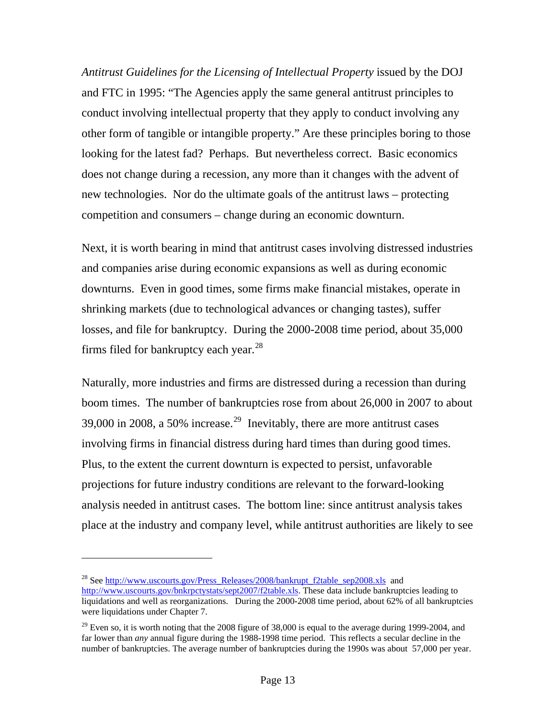*Antitrust Guidelines for the Licensing of Intellectual Property* issued by the DOJ and FTC in 1995: "The Agencies apply the same general antitrust principles to conduct involving intellectual property that they apply to conduct involving any other form of tangible or intangible property." Are these principles boring to those looking for the latest fad? Perhaps. But nevertheless correct. Basic economics does not change during a recession, any more than it changes with the advent of new technologies. Nor do the ultimate goals of the antitrust laws – protecting competition and consumers – change during an economic downturn.

Next, it is worth bearing in mind that antitrust cases involving distressed industries and companies arise during economic expansions as well as during economic downturns. Even in good times, some firms make financial mistakes, operate in shrinking markets (due to technological advances or changing tastes), suffer losses, and file for bankruptcy. During the 2000-2008 time period, about 35,000 firms filed for bankruptcy each year.<sup>[28](#page-12-0)</sup>

Naturally, more industries and firms are distressed during a recession than during boom times. The number of bankruptcies rose from about 26,000 in 2007 to about 39,000 in 2008, a 50% increase.<sup>[29](#page-12-1)</sup> Inevitably, there are more antitrust cases involving firms in financial distress during hard times than during good times. Plus, to the extent the current downturn is expected to persist, unfavorable projections for future industry conditions are relevant to the forward-looking analysis needed in antitrust cases. The bottom line: since antitrust analysis takes place at the industry and company level, while antitrust authorities are likely to see

<span id="page-12-0"></span><sup>&</sup>lt;sup>28</sup> See [http://www.uscourts.gov/Press\\_Releases/2008/bankrupt\\_f2table\\_sep2008.xls](http://www.uscourts.gov/Press_Releases/2008/bankrupt_f2table_sep2008.xls) and [http://www.uscourts.gov/bnkrpctystats/sept2007/f2table.xls.](http://www.uscourts.gov/bnkrpctystats/sept2007/f2table.xls) These data include bankruptcies leading to liquidations and well as reorganizations. During the 2000-2008 time period, about 62% of all bankruptcies were liquidations under Chapter 7.

<span id="page-12-1"></span> $29$  Even so, it is worth noting that the 2008 figure of 38,000 is equal to the average during 1999-2004, and far lower than *any* annual figure during the 1988-1998 time period. This reflects a secular decline in the number of bankruptcies. The average number of bankruptcies during the 1990s was about 57,000 per year.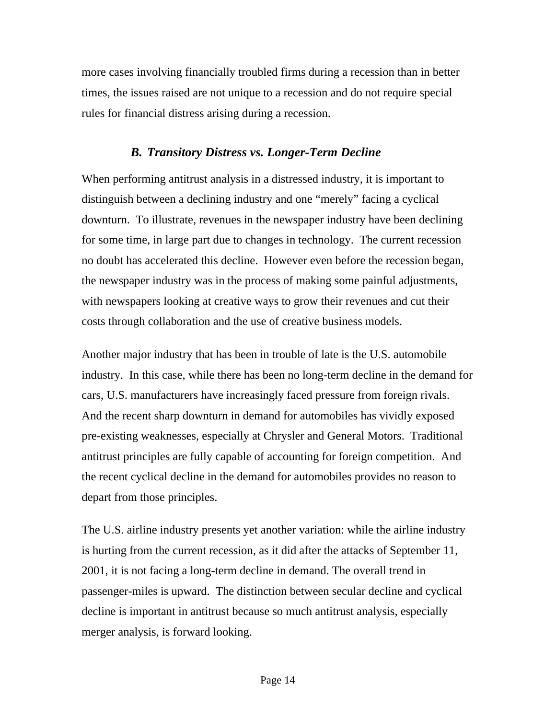more cases involving financially troubled firms during a recession than in better times, the issues raised are not unique to a recession and do not require special rules for financial distress arising during a recession.

#### *B. Transitory Distress vs. Longer-Term Decline*

When performing antitrust analysis in a distressed industry, it is important to distinguish between a declining industry and one "merely" facing a cyclical downturn. To illustrate, revenues in the newspaper industry have been declining for some time, in large part due to changes in technology. The current recession no doubt has accelerated this decline. However even before the recession began, the newspaper industry was in the process of making some painful adjustments, with newspapers looking at creative ways to grow their revenues and cut their costs through collaboration and the use of creative business models.

Another major industry that has been in trouble of late is the U.S. automobile industry. In this case, while there has been no long-term decline in the demand for cars, U.S. manufacturers have increasingly faced pressure from foreign rivals. And the recent sharp downturn in demand for automobiles has vividly exposed pre-existing weaknesses, especially at Chrysler and General Motors. Traditional antitrust principles are fully capable of accounting for foreign competition. And the recent cyclical decline in the demand for automobiles provides no reason to depart from those principles.

The U.S. airline industry presents yet another variation: while the airline industry is hurting from the current recession, as it did after the attacks of September 11, 2001, it is not facing a long-term decline in demand. The overall trend in passenger-miles is upward. The distinction between secular decline and cyclical decline is important in antitrust because so much antitrust analysis, especially merger analysis, is forward looking.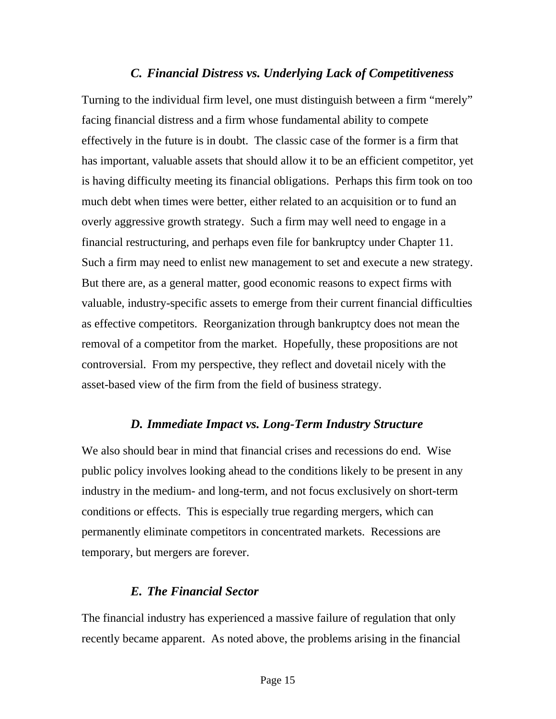#### *C. Financial Distress vs. Underlying Lack of Competitiveness*

Turning to the individual firm level, one must distinguish between a firm "merely" facing financial distress and a firm whose fundamental ability to compete effectively in the future is in doubt. The classic case of the former is a firm that has important, valuable assets that should allow it to be an efficient competitor, yet is having difficulty meeting its financial obligations. Perhaps this firm took on too much debt when times were better, either related to an acquisition or to fund an overly aggressive growth strategy. Such a firm may well need to engage in a financial restructuring, and perhaps even file for bankruptcy under Chapter 11. Such a firm may need to enlist new management to set and execute a new strategy. But there are, as a general matter, good economic reasons to expect firms with valuable, industry-specific assets to emerge from their current financial difficulties as effective competitors. Reorganization through bankruptcy does not mean the removal of a competitor from the market. Hopefully, these propositions are not controversial. From my perspective, they reflect and dovetail nicely with the asset-based view of the firm from the field of business strategy.

#### *D. Immediate Impact vs. Long-Term Industry Structure*

We also should bear in mind that financial crises and recessions do end. Wise public policy involves looking ahead to the conditions likely to be present in any industry in the medium- and long-term, and not focus exclusively on short-term conditions or effects. This is especially true regarding mergers, which can permanently eliminate competitors in concentrated markets. Recessions are temporary, but mergers are forever.

#### *E. The Financial Sector*

The financial industry has experienced a massive failure of regulation that only recently became apparent. As noted above, the problems arising in the financial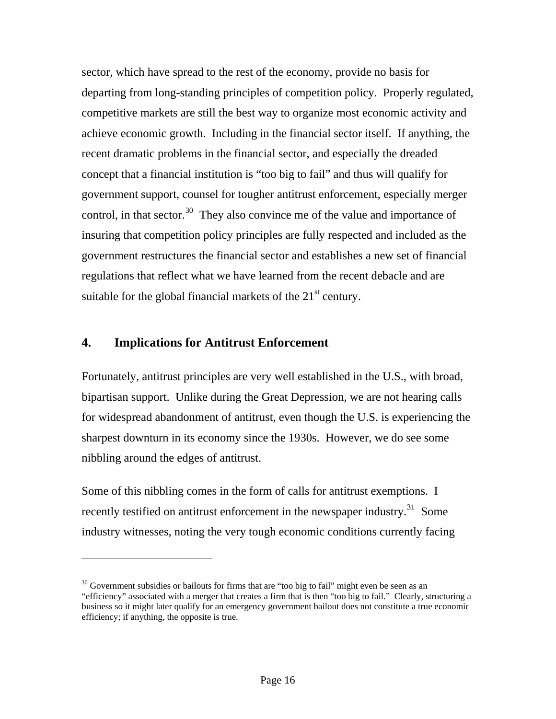sector, which have spread to the rest of the economy, provide no basis for departing from long-standing principles of competition policy. Properly regulated, competitive markets are still the best way to organize most economic activity and achieve economic growth. Including in the financial sector itself. If anything, the recent dramatic problems in the financial sector, and especially the dreaded concept that a financial institution is "too big to fail" and thus will qualify for government support, counsel for tougher antitrust enforcement, especially merger control, in that sector.<sup>[30](#page-15-0)</sup> They also convince me of the value and importance of insuring that competition policy principles are fully respected and included as the government restructures the financial sector and establishes a new set of financial regulations that reflect what we have learned from the recent debacle and are suitable for the global financial markets of the  $21<sup>st</sup>$  century.

#### **4. Implications for Antitrust Enforcement**

 $\overline{a}$ 

Fortunately, antitrust principles are very well established in the U.S., with broad, bipartisan support. Unlike during the Great Depression, we are not hearing calls for widespread abandonment of antitrust, even though the U.S. is experiencing the sharpest downturn in its economy since the 1930s. However, we do see some nibbling around the edges of antitrust.

Some of this nibbling comes in the form of calls for antitrust exemptions. I recently testified on antitrust enforcement in the newspaper industry.<sup>[31](#page-15-1)</sup> Some industry witnesses, noting the very tough economic conditions currently facing

<span id="page-15-1"></span><span id="page-15-0"></span> $30$  Government subsidies or bailouts for firms that are "too big to fail" might even be seen as an "efficiency" associated with a merger that creates a firm that is then "too big to fail." Clearly, structuring a business so it might later qualify for an emergency government bailout does not constitute a true economic efficiency; if anything, the opposite is true.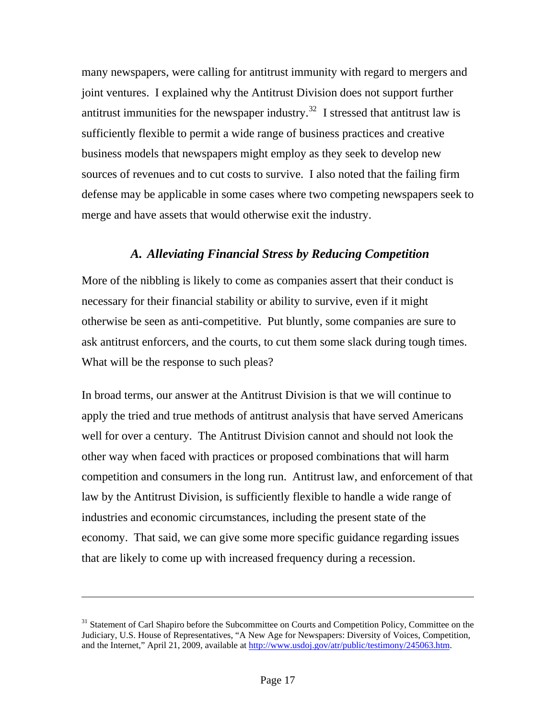many newspapers, were calling for antitrust immunity with regard to mergers and joint ventures. I explained why the Antitrust Division does not support further antitrust immunities for the newspaper industry.<sup>[32](#page-16-0)</sup> I stressed that antitrust law is sufficiently flexible to permit a wide range of business practices and creative business models that newspapers might employ as they seek to develop new sources of revenues and to cut costs to survive. I also noted that the failing firm defense may be applicable in some cases where two competing newspapers seek to merge and have assets that would otherwise exit the industry.

#### *A. Alleviating Financial Stress by Reducing Competition*

More of the nibbling is likely to come as companies assert that their conduct is necessary for their financial stability or ability to survive, even if it might otherwise be seen as anti-competitive. Put bluntly, some companies are sure to ask antitrust enforcers, and the courts, to cut them some slack during tough times. What will be the response to such pleas?

<span id="page-16-0"></span>In broad terms, our answer at the Antitrust Division is that we will continue to apply the tried and true methods of antitrust analysis that have served Americans well for over a century. The Antitrust Division cannot and should not look the other way when faced with practices or proposed combinations that will harm competition and consumers in the long run. Antitrust law, and enforcement of that law by the Antitrust Division, is sufficiently flexible to handle a wide range of industries and economic circumstances, including the present state of the economy. That said, we can give some more specific guidance regarding issues that are likely to come up with increased frequency during a recession.

<sup>&</sup>lt;sup>31</sup> Statement of Carl Shapiro before the Subcommittee on Courts and Competition Policy, Committee on the Judiciary, U.S. House of Representatives, "A New Age for Newspapers: Diversity of Voices, Competition, and the Internet," April 21, 2009, available at [http://www.usdoj.gov/atr/public/testimony/245063.htm.](http://www.usdoj.gov/atr/public/testimony/245063.htm)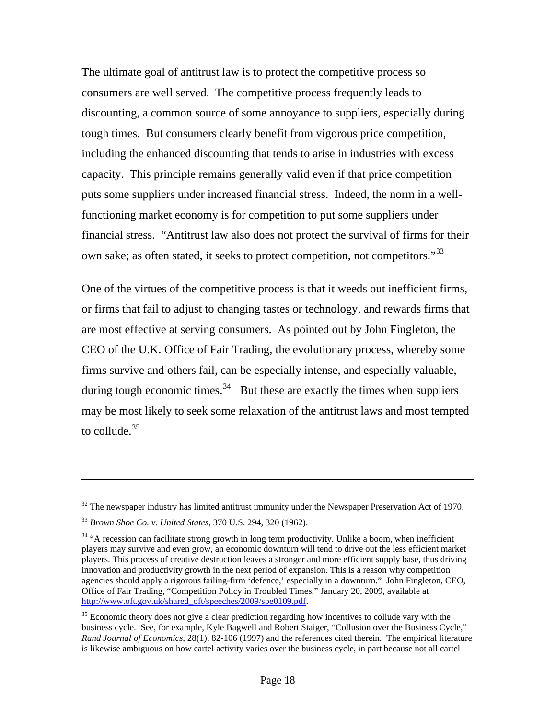The ultimate goal of antitrust law is to protect the competitive process so consumers are well served. The competitive process frequently leads to discounting, a common source of some annoyance to suppliers, especially during tough times. But consumers clearly benefit from vigorous price competition, including the enhanced discounting that tends to arise in industries with excess capacity. This principle remains generally valid even if that price competition puts some suppliers under increased financial stress. Indeed, the norm in a wellfunctioning market economy is for competition to put some suppliers under financial stress. "Antitrust law also does not protect the survival of firms for their own sake; as often stated, it seeks to protect competition, not competitors."<sup>[33](#page-17-0)</sup>

One of the virtues of the competitive process is that it weeds out inefficient firms, or firms that fail to adjust to changing tastes or technology, and rewards firms that are most effective at serving consumers. As pointed out by John Fingleton, the CEO of the U.K. Office of Fair Trading, the evolutionary process, whereby some firms survive and others fail, can be especially intense, and especially valuable, during tough economic times.<sup>[34](#page-17-1)</sup> But these are exactly the times when suppliers may be most likely to seek some relaxation of the antitrust laws and most tempted to collude. $35$ 

 $32$  The newspaper industry has limited antitrust immunity under the Newspaper Preservation Act of 1970.

<span id="page-17-0"></span><sup>33</sup> *Brown Shoe Co. v. United States*, 370 U.S. 294, 320 (1962).

<span id="page-17-1"></span><sup>&</sup>lt;sup>34</sup> "A recession can facilitate strong growth in long term productivity. Unlike a boom, when inefficient players may survive and even grow, an economic downturn will tend to drive out the less efficient market players. This process of creative destruction leaves a stronger and more efficient supply base, thus driving innovation and productivity growth in the next period of expansion. This is a reason why competition agencies should apply a rigorous failing-firm 'defence,' especially in a downturn." John Fingleton, CEO, Office of Fair Trading, "Competition Policy in Troubled Times," January 20, 2009, available at [http://www.oft.gov.uk/shared\\_oft/speeches/2009/spe0109.pdf](http://www.oft.gov.uk/shared_oft/speeches/2009/spe0109.pdf).

<span id="page-17-2"></span> $35$  Economic theory does not give a clear prediction regarding how incentives to collude vary with the business cycle. See, for example, Kyle Bagwell and Robert Staiger, "Collusion over the Business Cycle," *Rand Journal of Economics*, 28(1), 82-106 (1997) and the references cited therein. The empirical literature is likewise ambiguous on how cartel activity varies over the business cycle, in part because not all cartel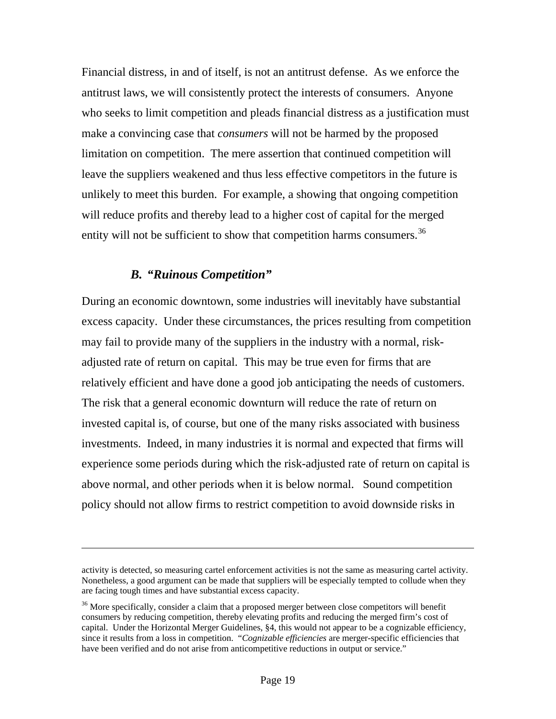Financial distress, in and of itself, is not an antitrust defense. As we enforce the antitrust laws, we will consistently protect the interests of consumers. Anyone who seeks to limit competition and pleads financial distress as a justification must make a convincing case that *consumers* will not be harmed by the proposed limitation on competition. The mere assertion that continued competition will leave the suppliers weakened and thus less effective competitors in the future is unlikely to meet this burden. For example, a showing that ongoing competition will reduce profits and thereby lead to a higher cost of capital for the merged entity will not be sufficient to show that competition harms consumers.<sup>[36](#page-18-0)</sup>

#### *B. "Ruinous Competition"*

 $\overline{a}$ 

During an economic downtown, some industries will inevitably have substantial excess capacity. Under these circumstances, the prices resulting from competition may fail to provide many of the suppliers in the industry with a normal, riskadjusted rate of return on capital. This may be true even for firms that are relatively efficient and have done a good job anticipating the needs of customers. The risk that a general economic downturn will reduce the rate of return on invested capital is, of course, but one of the many risks associated with business investments. Indeed, in many industries it is normal and expected that firms will experience some periods during which the risk-adjusted rate of return on capital is above normal, and other periods when it is below normal. Sound competition policy should not allow firms to restrict competition to avoid downside risks in

activity is detected, so measuring cartel enforcement activities is not the same as measuring cartel activity. Nonetheless, a good argument can be made that suppliers will be especially tempted to collude when they are facing tough times and have substantial excess capacity.

<span id="page-18-0"></span> $36$  More specifically, consider a claim that a proposed merger between close competitors will benefit consumers by reducing competition, thereby elevating profits and reducing the merged firm's cost of capital. Under the Horizontal Merger Guidelines, §4, this would not appear to be a cognizable efficiency, since it results from a loss in competition. "*Cognizable efficiencies* are merger-specific efficiencies that have been verified and do not arise from anticompetitive reductions in output or service."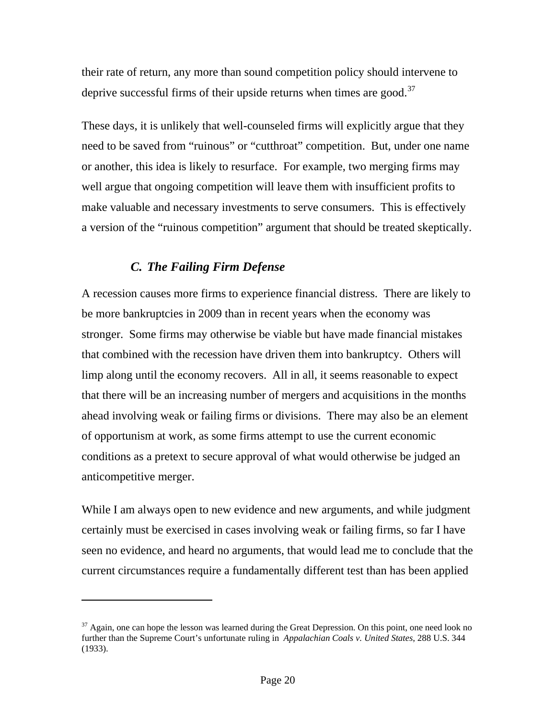their rate of return, any more than sound competition policy should intervene to deprive successful firms of their upside returns when times are good. $37$ 

These days, it is unlikely that well-counseled firms will explicitly argue that they need to be saved from "ruinous" or "cutthroat" competition. But, under one name or another, this idea is likely to resurface. For example, two merging firms may well argue that ongoing competition will leave them with insufficient profits to make valuable and necessary investments to serve consumers. This is effectively a version of the "ruinous competition" argument that should be treated skeptically.

#### *C. The Failing Firm Defense*

 $\overline{a}$ 

A recession causes more firms to experience financial distress. There are likely to be more bankruptcies in 2009 than in recent years when the economy was stronger. Some firms may otherwise be viable but have made financial mistakes that combined with the recession have driven them into bankruptcy. Others will limp along until the economy recovers. All in all, it seems reasonable to expect that there will be an increasing number of mergers and acquisitions in the months ahead involving weak or failing firms or divisions. There may also be an element of opportunism at work, as some firms attempt to use the current economic conditions as a pretext to secure approval of what would otherwise be judged an anticompetitive merger.

While I am always open to new evidence and new arguments, and while judgment certainly must be exercised in cases involving weak or failing firms, so far I have seen no evidence, and heard no arguments, that would lead me to conclude that the current circumstances require a fundamentally different test than has been applied

<span id="page-19-0"></span> $37$  Again, one can hope the lesson was learned during the Great Depression. On this point, one need look no further than the Supreme Court's unfortunate ruling in *Appalachian Coals v. United States*, 288 U.S. 344 (1933).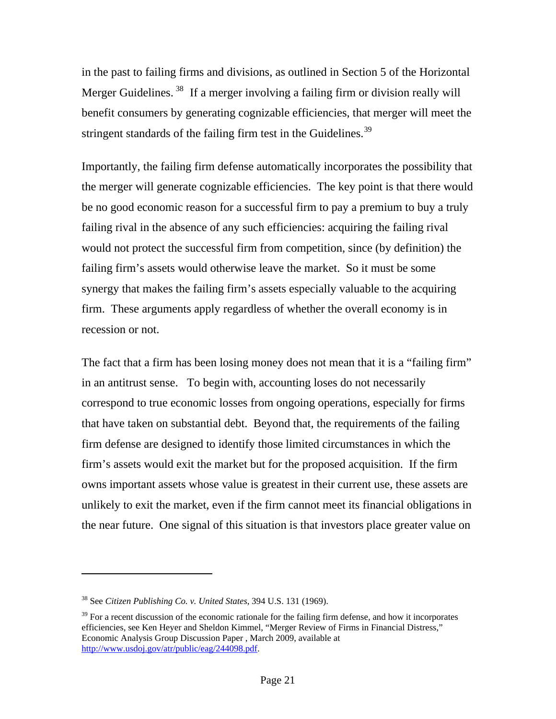in the past to failing firms and divisions, as outlined in Section 5 of the Horizontal Merger Guidelines.<sup>[38](#page-20-0)</sup> If a merger involving a failing firm or division really will benefit consumers by generating cognizable efficiencies, that merger will meet the stringent standards of the failing firm test in the Guidelines.<sup>[39](#page-20-1)</sup>

Importantly, the failing firm defense automatically incorporates the possibility that the merger will generate cognizable efficiencies. The key point is that there would be no good economic reason for a successful firm to pay a premium to buy a truly failing rival in the absence of any such efficiencies: acquiring the failing rival would not protect the successful firm from competition, since (by definition) the failing firm's assets would otherwise leave the market. So it must be some synergy that makes the failing firm's assets especially valuable to the acquiring firm. These arguments apply regardless of whether the overall economy is in recession or not.

The fact that a firm has been losing money does not mean that it is a "failing firm" in an antitrust sense. To begin with, accounting loses do not necessarily correspond to true economic losses from ongoing operations, especially for firms that have taken on substantial debt. Beyond that, the requirements of the failing firm defense are designed to identify those limited circumstances in which the firm's assets would exit the market but for the proposed acquisition. If the firm owns important assets whose value is greatest in their current use, these assets are unlikely to exit the market, even if the firm cannot meet its financial obligations in the near future. One signal of this situation is that investors place greater value on

<span id="page-20-0"></span><sup>38</sup> See *Citizen Publishing Co. v. United States*, 394 U.S. 131 (1969).

<span id="page-20-1"></span> $39$  For a recent discussion of the economic rationale for the failing firm defense, and how it incorporates efficiencies, see Ken Heyer and Sheldon Kimmel, "Merger Review of Firms in Financial Distress," Economic Analysis Group Discussion Paper , March 2009, available at [http://www.usdoj.gov/atr/public/eag/244098.pdf.](http://www.usdoj.gov/atr/public/eag/244098.pdf)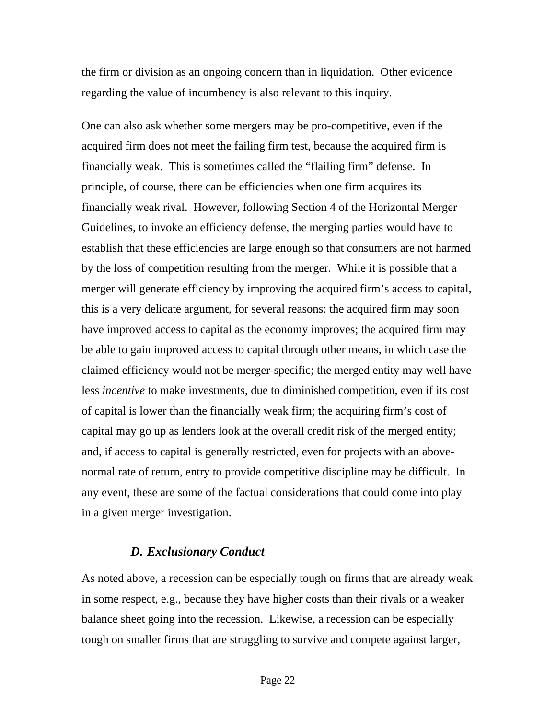the firm or division as an ongoing concern than in liquidation. Other evidence regarding the value of incumbency is also relevant to this inquiry.

One can also ask whether some mergers may be pro-competitive, even if the acquired firm does not meet the failing firm test, because the acquired firm is financially weak. This is sometimes called the "flailing firm" defense. In principle, of course, there can be efficiencies when one firm acquires its financially weak rival. However, following Section 4 of the Horizontal Merger Guidelines, to invoke an efficiency defense, the merging parties would have to establish that these efficiencies are large enough so that consumers are not harmed by the loss of competition resulting from the merger. While it is possible that a merger will generate efficiency by improving the acquired firm's access to capital, this is a very delicate argument, for several reasons: the acquired firm may soon have improved access to capital as the economy improves; the acquired firm may be able to gain improved access to capital through other means, in which case the claimed efficiency would not be merger-specific; the merged entity may well have less *incentive* to make investments, due to diminished competition, even if its cost of capital is lower than the financially weak firm; the acquiring firm's cost of capital may go up as lenders look at the overall credit risk of the merged entity; and, if access to capital is generally restricted, even for projects with an abovenormal rate of return, entry to provide competitive discipline may be difficult. In any event, these are some of the factual considerations that could come into play in a given merger investigation.

# *D. Exclusionary Conduct*

As noted above, a recession can be especially tough on firms that are already weak in some respect, e.g., because they have higher costs than their rivals or a weaker balance sheet going into the recession. Likewise, a recession can be especially tough on smaller firms that are struggling to survive and compete against larger,